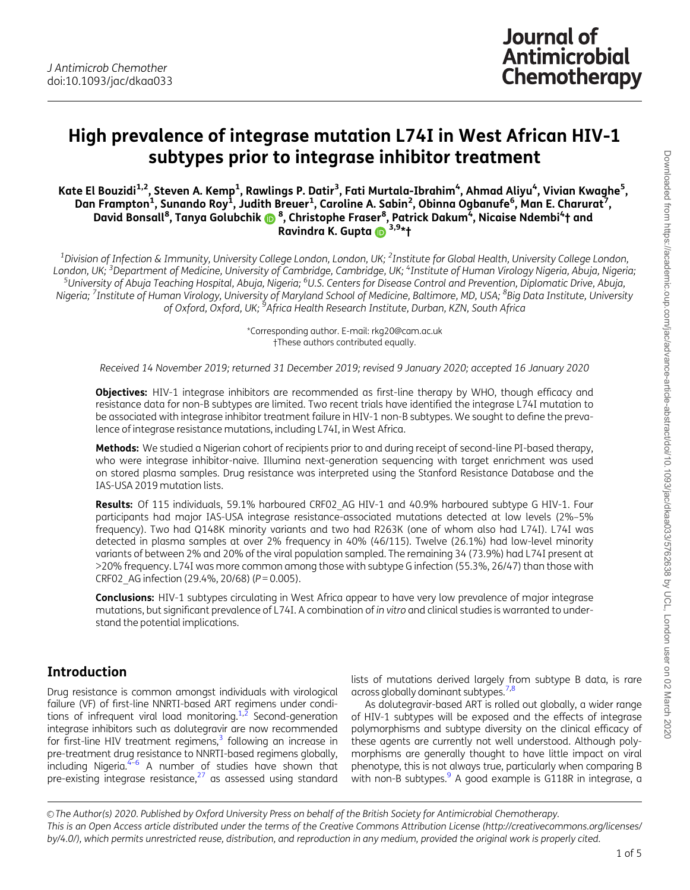# <span id="page-0-0"></span>High prevalence of integrase mutation L74I in West African HIV-1 subtypes prior to integrase inhibitor treatment

Kate El Bouzidi<sup>1,2</sup>, Steven A. Kemp<sup>1</sup>, Rawlings P. Datir<sup>3</sup>, Fati Murtala-Ibrahim<sup>4</sup>, Ahmad Aliyu<sup>4</sup>, Vivian Kwaghe<sup>5</sup>, Dan Frampton<sup>1</sup>, Sunando Roy<sup>i</sup>, Judith Breuer<sup>1</sup>, Caroline A. Sabin<sup>2</sup>, Obinna Ogbanufe<sup>6</sup>, Man E. Charurat<sup>7</sup>, David Bonsall<sup>8</sup>, Tanya Golubchik @ <sup>8</sup>, Christophe Fraser<sup>8</sup>, Patrick Dakum<sup>4</sup>, Nicaise Ndembi<sup>4</sup>† and Ravindra K. Gupta  $\mathbb{R}^{3,9*}$ t

 $^{\rm 1}$ Division of Infection & Immunity, University College London, London, UK;  $^{\rm 2}$ Institute for Global Health, University College London, London, UK; <sup>3</sup>Department of Medicine, University of Cambridge, Cambridge, UK; <sup>4</sup>Institute of Human Virology Nigeria, Abuja, Nigeria;<br>SUniversity of Abuja Teaching Hospital, Abuja, Nigeria: <sup>6</sup>U.S. Centers for Disease Co University of Abuja Teaching Hospital, Abuja, Nigeria; <sup>6</sup>U.S. Centers for Disease Control and Prevention, Diplomatic Drive, Abuja, Nigeria; <sup>7</sup>Institute of Human Virology, University of Maryland School of Medicine, Baltimore, MD, USA; <sup>8</sup>Big Data Institute, University of Oxford, Oxford, UK; <sup>9</sup>Africa Health Research Institute, Durban, KZN, South Africa

> \*Corresponding author. E-mail: rkg20@cam.ac.uk †These authors contributed equally.

Received 14 November 2019; returned 31 December 2019; revised 9 January 2020; accepted 16 January 2020

Objectives: HIV-1 integrase inhibitors are recommended as first-line therapy by WHO, though efficacy and resistance data for non-B subtypes are limited. Two recent trials have identified the integrase L74I mutation to be associated with integrase inhibitor treatment failure in HIV-1 non-B subtypes. We sought to define the prevalence of integrase resistance mutations, including L74I, in West Africa.

Methods: We studied a Nigerian cohort of recipients prior to and during receipt of second-line PI-based therapy, who were integrase inhibitor-naive. Illumina next-generation sequencing with target enrichment was used on stored plasma samples. Drug resistance was interpreted using the Stanford Resistance Database and the IAS-USA 2019 mutation lists.

Results: Of 115 individuals, 59.1% harboured CRF02 AG HIV-1 and 40.9% harboured subtype G HIV-1. Four participants had major IAS-USA integrase resistance-associated mutations detected at low levels (2%–5% frequency). Two had Q148K minority variants and two had R263K (one of whom also had L74I). L74I was detected in plasma samples at over 2% frequency in 40% (46/115). Twelve (26.1%) had low-level minority variants of between 2% and 20% of the viral population sampled. The remaining 34 (73.9%) had L74I present at >20% frequency. L74I was more common among those with subtype G infection (55.3%, 26/47) than those with CRF02\_AG infection (29.4%, 20/68) (P = 0.005).

Conclusions: HIV-1 subtypes circulating in West Africa appear to have very low prevalence of major integrase mutations, but significant prevalence of L74I. A combination of in vitro and clinical studies is warranted to understand the potential implications.

### Introduction

Drug resistance is common amongst individuals with virological failure (VF) of first-line NNRTI-based ART regimens under conditions of infrequent viral load monitoring. $1,2$  $1,2$  Second-generation integrase inhibitors such as dolutegravir are now recommended for first-line HIV treatment regimens, $3$  following an increase in pre-treatment drug resistance to NNRTI-based regimens globally, including Nigeria. $4-6$  A number of studies have shown that pre-existing integrase resistance, $27$  as assessed using standard

lists of mutations derived largely from subtype B data, is rare across globally dominant subtypes.<sup>[7,8](#page-4-0)</sup>

As dolutegravir-based ART is rolled out globally, a wider range of HIV-1 subtypes will be exposed and the effects of integrase polymorphisms and subtype diversity on the clinical efficacy of these agents are currently not well understood. Although polymorphisms are generally thought to have little impact on viral phenotype, this is not always true, particularly when comparing B with non-B subtypes. $9$  A good example is G118R in integrase, a

© The Author(s) 2020. Published by Oxford University Press on behalf of the British Society for Antimicrobial Chemotherapy. This is an Open Access article distributed under the terms of the Creative Commons Attribution License (http://creativecommons.org/licenses/ by/4.0/), which permits unrestricted reuse, distribution, and reproduction in any medium, provided the original work is properly cited.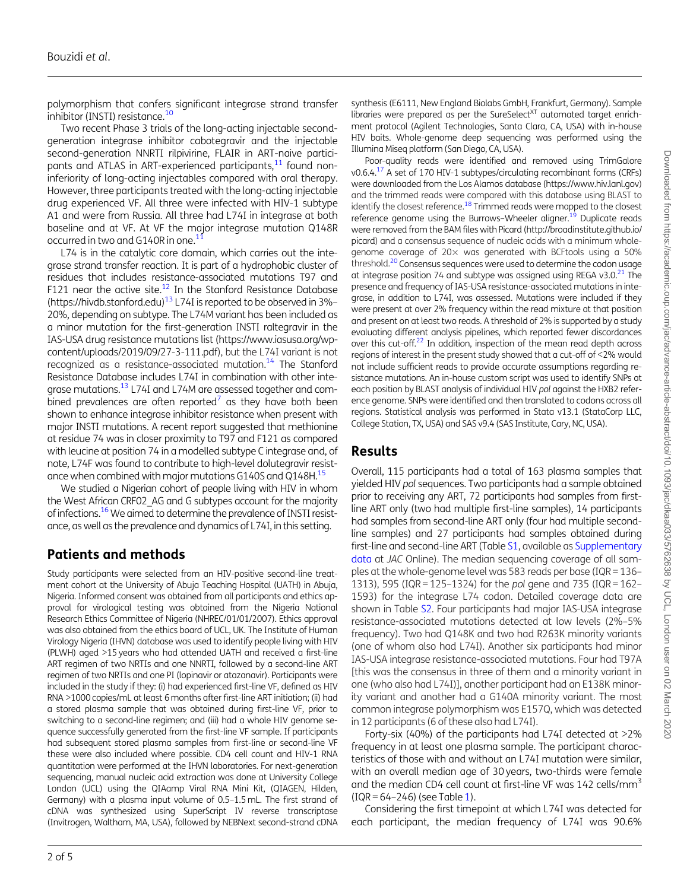<span id="page-1-0"></span>polymorphism that confers significant integrase strand transfer inhibitor (INSTI) resistance[.10](#page-4-0)

Two recent Phase 3 trials of the long-acting injectable secondgeneration integrase inhibitor cabotegravir and the injectable second-generation NNRTI rilpivirine, FLAIR in ART-naive participants and ATLAS in ART-experienced participants,<sup>11</sup> found noninferiority of long-acting injectables compared with oral therapy. However, three participants treated with the long-acting injectable drug experienced VF. All three were infected with HIV-1 subtype A1 and were from Russia. All three had L74I in integrase at both baseline and at VF. At VF the major integrase mutation Q148R occurred in two and G140R in one.<sup>[11](#page-4-0)</sup>

L74 is in the catalytic core domain, which carries out the integrase strand transfer reaction. It is part of a hydrophobic cluster of residues that includes resistance-associated mutations T97 and F[12](#page-4-0)1 near the active site.<sup>12</sup> In the Stanford Resistance Database [\(https://hivdb.stanford.edu](https://hivdb.stanford.edu))<sup>[13](#page-4-0)</sup> L74I is reported to be observed in 3%-20%, depending on subtype. The L74M variant has been included as a minor mutation for the first-generation INSTI raltegravir in the IAS-USA drug resistance mutations list [\(https://www.iasusa.org/wp](https://www.iasusa.org/wp-content/uploads/2019/09/27-3-111.pdf)[content/uploads/2019/09/27-3-111.pdf](https://www.iasusa.org/wp-content/uploads/2019/09/27-3-111.pdf)), but the L74I variant is not recognized as a resistance-associated mutation.<sup>14</sup> The Stanford Resistance Database includes L74I in combination with other inte-grase mutations.<sup>[13](#page-4-0)</sup> L74I and L74M are assessed together and com-bined prevalences are often reported<sup>[7](#page-4-0)</sup> as they have both been shown to enhance integrase inhibitor resistance when present with major INSTI mutations. A recent report suggested that methionine at residue 74 was in closer proximity to T97 and F121 as compared with leucine at position 74 in a modelled subtype C integrase and, of note, L74F was found to contribute to high-level dolutegravir resistance when combined with major mutations G140S and Q148H[.15](#page-4-0)

We studied a Nigerian cohort of people living with HIV in whom the West African CRF02\_AG and G subtypes account for the majority of infections.<sup>16</sup> We aimed to determine the prevalence of INSTI resistance, as well as the prevalence and dynamics of L74I, in this setting.

# Patients and methods

Study participants were selected from an HIV-positive second-line treatment cohort at the University of Abuja Teaching Hospital (UATH) in Abuja, Nigeria. Informed consent was obtained from all participants and ethics approval for virological testing was obtained from the Nigeria National Research Ethics Committee of Nigeria (NHREC/01/01/2007). Ethics approval was also obtained from the ethics board of UCL, UK. The Institute of Human Virology Nigeria (IHVN) database was used to identify people living with HIV (PLWH) aged >15 years who had attended UATH and received a first-line ART regimen of two NRTIs and one NNRTI, followed by a second-line ART regimen of two NRTIs and one PI (lopinavir or atazanavir). Participants were included in the study if they: (i) had experienced first-line VF, defined as HIV RNA >1000 copies/mL at least 6 months after first-line ART initiation; (ii) had a stored plasma sample that was obtained during first-line VF, prior to switching to a second-line regimen; and (iii) had a whole HIV genome sequence successfully generated from the first-line VF sample. If participants had subsequent stored plasma samples from first-line or second-line VF these were also included where possible. CD4 cell count and HIV-1 RNA quantitation were performed at the IHVN laboratories. For next-generation sequencing, manual nucleic acid extraction was done at University College London (UCL) using the QIAamp Viral RNA Mini Kit, (QIAGEN, Hilden, Germany) with a plasma input volume of 0.5–1.5 mL. The first strand of cDNA was synthesized using SuperScript IV reverse transcriptase (Invitrogen, Waltham, MA, USA), followed by NEBNext second-strand cDNA

Poor-quality reads were identified and removed using TrimGalore  $v0.6.4$ <sup>17</sup> A set of 170 HIV-1 subtypes/circulating recombinant forms (CRFs) were downloaded from the Los Alamos database (<https://www.hiv.lanl.gov>) and the trimmed reads were compared with this database using BLAST to identify the closest reference.<sup>18</sup> Trimmed reads were mapped to the closest reference genome using the Burrows–Wheeler aligner.<sup>19</sup> Duplicate reads were removed from the BAM files with Picard [\(http://broadinstitute.github.io/](http://broadinstitute.github.io/picard) [picard](http://broadinstitute.github.io/picard)) and a consensus sequence of nucleic acids with a minimum wholegenome coverage of 20% was generated with BCFtools using a 50% threshold.<sup>20</sup> Consensus sequences were used to determine the codon usage at integrase position 74 and subtype was assigned using REGA v3.0. $^{21}$  The presence and frequency of IAS-USA resistance-associated mutations in integrase, in addition to L74I, was assessed. Mutations were included if they were present at over 2% frequency within the read mixture at that position and present on at least two reads. A threshold of 2% is supported by a study evaluating different analysis pipelines, which reported fewer discordances over this cut-off. $22$  In addition, inspection of the mean read depth across regions of interest in the present study showed that a cut-off of <2% would not include sufficient reads to provide accurate assumptions regarding resistance mutations. An in-house custom script was used to identify SNPs at each position by BLAST analysis of individual HIV pol against the HXB2 reference genome. SNPs were identified and then translated to codons across all regions. Statistical analysis was performed in Stata v13.1 (StataCorp LLC, College Station, TX, USA) and SAS v9.4 (SAS Institute, Cary, NC, USA).

### Results

Overall, 115 participants had a total of 163 plasma samples that yielded HIV pol sequences. Two participants had a sample obtained prior to receiving any ART, 72 participants had samples from firstline ART only (two had multiple first-line samples), 14 participants had samples from second-line ART only (four had multiple secondline samples) and 27 participants had samples obtained during first-line and second-line ART (Table [S1](https://academic.oup.com/jac/article-lookup/doi/10.1093/jac/dkaa033#supplementary-data), available as [Supplementary](https://academic.oup.com/jac/article-lookup/doi/10.1093/jac/dkaa033#supplementary-data) [data](https://academic.oup.com/jac/article-lookup/doi/10.1093/jac/dkaa033#supplementary-data) at JAC Online). The median sequencing coverage of all samples at the whole-genome level was 583 reads per base (IQR = 136– 1313), 595 (IQR = 125–1324) for the pol gene and 735 (IQR = 162– 1593) for the integrase L74 codon. Detailed coverage data are shown in Table [S2](https://academic.oup.com/jac/article-lookup/doi/10.1093/jac/dkaa033#supplementary-data). Four participants had major IAS-USA integrase resistance-associated mutations detected at low levels (2%–5% frequency). Two had Q148K and two had R263K minority variants (one of whom also had L74I). Another six participants had minor IAS-USA integrase resistance-associated mutations. Four had T97A [this was the consensus in three of them and a minority variant in one (who also had L74I)], another participant had an E138K minority variant and another had a G140A minority variant. The most common integrase polymorphism was E157Q, which was detected in 12 participants (6 of these also had L74I).

Forty-six (40%) of the participants had L74I detected at >2% frequency in at least one plasma sample. The participant characteristics of those with and without an L74I mutation were similar, with an overall median age of 30 years, two-thirds were female and the median CD4 cell count at first-line VF was 142 cells/mm<sup>3</sup>  $( IQR = 64 - 246)$  (see Table [1](#page-2-0)).

Considering the first timepoint at which L74I was detected for each participant, the median frequency of L74I was 90.6%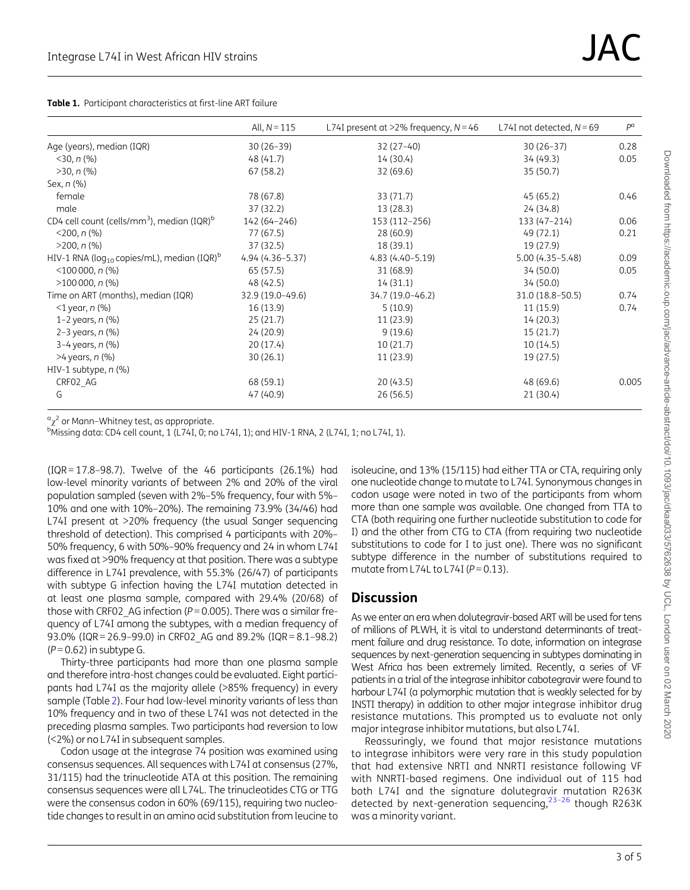<span id="page-2-0"></span>

|  | <b>Table 1.</b> Participant characteristics at first-line ART failure |  |
|--|-----------------------------------------------------------------------|--|
|  |                                                                       |  |

|                                                                    | All, $N = 115$      | L74I present at $>2\%$ frequency, $N = 46$ | L74I not detected, $N = 69$ | $P^{\alpha}$ |
|--------------------------------------------------------------------|---------------------|--------------------------------------------|-----------------------------|--------------|
| Age (years), median (IQR)                                          | $30(26-39)$         | $32(27-40)$                                | $30(26-37)$                 | 0.28         |
| $<$ 30, n (%)                                                      | 48 (41.7)           | 14 (30.4)                                  | 34 (49.3)                   | 0.05         |
| $>30, n$ (%)                                                       | 67 (58.2)           | 32 (69.6)                                  | 35 (50.7)                   |              |
| Sex, n (%)                                                         |                     |                                            |                             |              |
| female                                                             | 78 (67.8)           | 33 (71.7)                                  | 45(65.2)                    | 0.46         |
| male                                                               | 37 (32.2)           | 13 (28.3)                                  | 24 (34.8)                   |              |
| CD4 cell count (cells/mm <sup>3</sup> ), median (IQR) <sup>b</sup> | 142 (64-246)        | 153 (112-256)                              | 133 (47-214)                | 0.06         |
| $<$ 200, n $(\% )$                                                 | 77 (67.5)           | 28 (60.9)                                  | 49 (72.1)                   | 0.21         |
| $>200, n$ (%)                                                      | 37 (32.5)           | 18 (39.1)                                  | 19 (27.9)                   |              |
| HIV-1 RNA (log $_{10}$ copies/mL), median (IQR) $^{\rm b}$         | $4.94(4.36 - 5.37)$ | $4.83(4.40 - 5.19)$                        | $5.00(4.35 - 5.48)$         | 0.09         |
| $<$ 100 000, n $(\% )$                                             | 65 (57.5)           | 31 (68.9)                                  | 34 (50.0)                   | 0.05         |
| $>100000$ , n (%)                                                  | 48 (42.5)           | 14(31.1)                                   | 34 (50.0)                   |              |
| Time on ART (months), median (IQR)                                 | 32.9 (19.0-49.6)    | 34.7 (19.0-46.2)                           | 31.0 (18.8-50.5)            | 0.74         |
| $<$ 1 year, n (%)                                                  | 16 (13.9)           | 5(10.9)                                    | 11 (15.9)                   | 0.74         |
| 1–2 years, $n$ (%)                                                 | 25(21.7)            | 11 (23.9)                                  | 14 (20.3)                   |              |
| 2-3 years, $n$ (%)                                                 | 24 (20.9)           | 9(19.6)                                    | 15(21.7)                    |              |
| 3-4 years, n (%)                                                   | 20 (17.4)           | 10(21.7)                                   | 10(14.5)                    |              |
| >4 years, n (%)                                                    | 30(26.1)            | 11(23.9)                                   | 19 (27.5)                   |              |
| HIV-1 subtype, n (%)                                               |                     |                                            |                             |              |
| CRFO2_AG                                                           | 68 (59.1)           | 20(43.5)                                   | 48(69.6)                    | 0.005        |
| G                                                                  | 47 (40.9)           | 26 (56.5)                                  | 21 (30.4)                   |              |

 $\alpha_{\chi^2}$  or Mann–Whitney test, as appropriate.<br>
bMissing data: CD/, cell count 1. (1.7/J, 0; p

<sup>b</sup>Missing data: CD4 cell count, 1 (L74I, 0; no L74I, 1); and HIV-1 RNA, 2 (L74I, 1; no L74I, 1).

 $( IQR = 17.8 - 98.7)$ . Twelve of the 46 participants  $(26.1\%)$  had low-level minority variants of between 2% and 20% of the viral population sampled (seven with 2%–5% frequency, four with 5%– 10% and one with 10%–20%). The remaining 73.9% (34/46) had L74I present at >20% frequency (the usual Sanger sequencing threshold of detection). This comprised 4 participants with 20%– 50% frequency, 6 with 50%–90% frequency and 24 in whom L74I was fixed at >90% frequency at that position. There was a subtype difference in L74I prevalence, with 55.3% (26/47) of participants with subtype G infection having the L74I mutation detected in at least one plasma sample, compared with 29.4% (20/68) of those with CRF02 AG infection ( $P = 0.005$ ). There was a similar frequency of L74I among the subtypes, with a median frequency of 93.0% (IQR = 26.9–99.0) in CRF02\_AG and 89.2% (IQR = 8.1–98.2)  $(P = 0.62)$  in subtype G.

Thirty-three participants had more than one plasma sample and therefore intra-host changes could be evaluated. Eight participants had L74I as the majority allele (>85% frequency) in every sample (Table [2\)](#page-3-0). Four had low-level minority variants of less than 10% frequency and in two of these L74I was not detected in the preceding plasma samples. Two participants had reversion to low (<2%) or no L74I in subsequent samples.

Codon usage at the integrase 74 position was examined using consensus sequences. All sequences with L74I at consensus (27%, 31/115) had the trinucleotide ATA at this position. The remaining consensus sequences were all L74L. The trinucleotides CTG or TTG were the consensus codon in 60% (69/115), requiring two nucleotide changes to result in an amino acid substitution from leucine to

isoleucine, and 13% (15/115) had either TTA or CTA, requiring only one nucleotide change to mutate to L74I. Synonymous changes in codon usage were noted in two of the participants from whom more than one sample was available. One changed from TTA to CTA (both requiring one further nucleotide substitution to code for I) and the other from CTG to CTA (from requiring two nucleotide substitutions to code for I to just one). There was no significant subtype difference in the number of substitutions required to mutate from L74L to L74I ( $P = 0.13$ ).

#### **Discussion**

As we enter an era when dolutegravir-based ART will be used for tens of millions of PLWH, it is vital to understand determinants of treatment failure and drug resistance. To date, information on integrase sequences by next-generation sequencing in subtypes dominating in West Africa has been extremely limited. Recently, a series of VF patients in a trial of the integrase inhibitor cabotegravir were found to harbour L74I (a polymorphic mutation that is weakly selected for by INSTI therapy) in addition to other major integrase inhibitor drug resistance mutations. This prompted us to evaluate not only major integrase inhibitor mutations, but also L74I.

Reassuringly, we found that major resistance mutations to integrase inhibitors were very rare in this study population that had extensive NRTI and NNRTI resistance following VF with NNRTI-based regimens. One individual out of 115 had both L74I and the signature dolutegravir mutation R263K detected by next-generation sequencing, $23-26$  though R263K was a minority variant.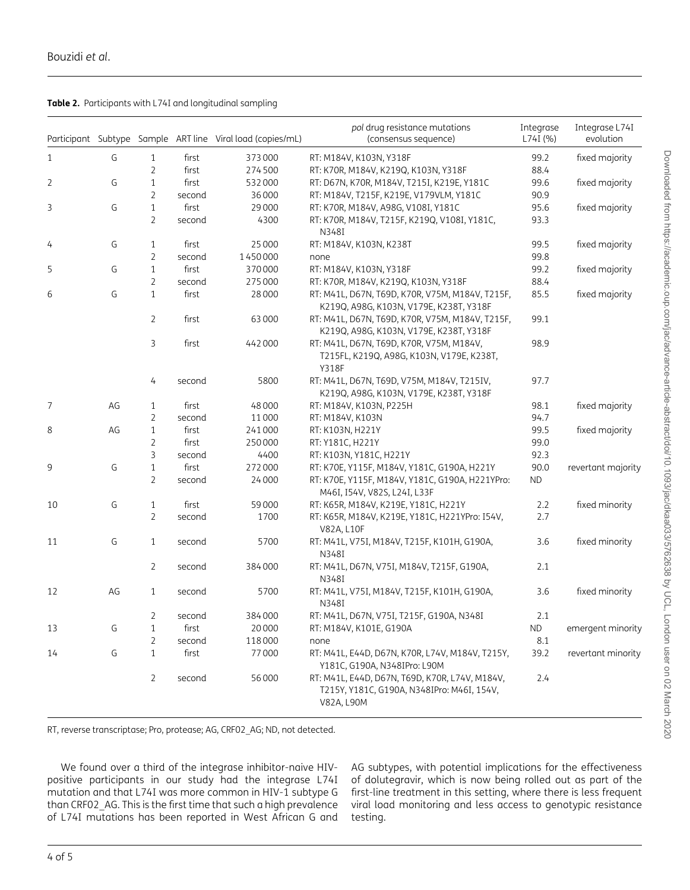<span id="page-3-0"></span>

|  | Table 2. Participants with L74I and longitudinal sampling |  |
|--|-----------------------------------------------------------|--|
|  |                                                           |  |

|    |    |                |        | Participant Subtype Sample ART line Viral load (copies/mL) | pol drug resistance mutations<br>(consensus sequence)                                                      | Integrase<br>L74I (%) | Integrase L74I<br>evolution |
|----|----|----------------|--------|------------------------------------------------------------|------------------------------------------------------------------------------------------------------------|-----------------------|-----------------------------|
| 1  | G  | $\mathbf{1}$   | first  | 373000                                                     | RT: M184V, K103N, Y318F                                                                                    | 99.2                  | fixed majority              |
|    |    | $\overline{2}$ | first  | 274500                                                     | RT: K70R, M184V, K219Q, K103N, Y318F                                                                       | 88.4                  |                             |
| 2  | G  | $\mathbf{1}$   | first  | 532000                                                     | RT: D67N, K70R, M184V, T215I, K219E, Y181C                                                                 | 99.6                  | fixed majority              |
|    |    | 2              | second | 36000                                                      | RT: M184V, T215F, K219E, V179VLM, Y181C                                                                    | 90.9                  |                             |
| 3  | G  | $\mathbf{1}$   | first  | 29000                                                      | RT: K70R, M184V, A98G, V108I, Y181C                                                                        | 95.6                  | fixed majority              |
|    |    | $\overline{2}$ | second | 4300                                                       | RT: K70R, M184V, T215F, K219Q, V108I, Y181C,<br>N348I                                                      | 93.3                  |                             |
| 4  | G  | $\mathbf{1}$   | first  | 25000                                                      | RT: M184V, K103N, K238T                                                                                    | 99.5                  | fixed majority              |
|    |    | $\overline{2}$ | second | 1450000                                                    | none                                                                                                       | 99.8                  |                             |
| 5  | G  | $\mathbf{1}$   | first  | 370000                                                     | RT: M184V, K103N, Y318F                                                                                    | 99.2                  | fixed majority              |
|    |    | $\overline{2}$ | second | 275000                                                     | RT: K70R, M184V, K219Q, K103N, Y318F                                                                       | 88.4                  |                             |
| 6  | G  | $\mathbf{1}$   | first  | 28000                                                      | RT: M41L, D67N, T69D, K70R, V75M, M184V, T215F,<br>K219Q, A98G, K103N, V179E, K238T, Y318F                 | 85.5                  | fixed majority              |
|    |    | 2              | first  | 63000                                                      | RT: M41L, D67N, T69D, K70R, V75M, M184V, T215F,<br>K219Q, A98G, K103N, V179E, K238T, Y318F                 | 99.1                  |                             |
|    |    | 3              | first  | 442000                                                     | RT: M41L, D67N, T69D, K70R, V75M, M184V,<br>T215FL, K219Q, A98G, K103N, V179E, K238T,<br><b>Y318F</b>      | 98.9                  |                             |
|    |    | 4              | second | 5800                                                       | RT: M41L, D67N, T69D, V75M, M184V, T215IV,<br>K219Q, A98G, K103N, V179E, K238T, Y318F                      | 97.7                  |                             |
| 7  | AG | $\mathbf{1}$   | first  | 48000                                                      | RT: M184V, K103N, P225H                                                                                    | 98.1                  | fixed majority              |
|    |    | $\overline{2}$ | second | 11000                                                      | RT: M184V, K103N                                                                                           | 94.7                  |                             |
| 8  | AG | $\mathbf{1}$   | first  | 241000                                                     | RT: K103N, H221Y                                                                                           | 99.5                  | fixed majority              |
|    |    | $\overline{2}$ | first  | 250000                                                     | RT: Y181C, H221Y                                                                                           | 99.0                  |                             |
|    |    | 3              | second | 4400                                                       | RT: K103N, Y181C, H221Y                                                                                    | 92.3                  |                             |
| 9  | G  | $\mathbf{1}$   | first  | 272000                                                     | RT: K70E, Y115F, M184V, Y181C, G190A, H221Y                                                                | 90.0                  | revertant majority          |
|    |    | $\overline{2}$ | second | 24000                                                      | RT: K70E, Y115F, M184V, Y181C, G190A, H221YPro:<br>M46I, I54V, V82S, L24I, L33F                            | <b>ND</b>             |                             |
| 10 | G  | $\mathbf{1}$   | first  | 59000                                                      | RT: K65R, M184V, K219E, Y181C, H221Y                                                                       | 2.2                   | fixed minority              |
|    |    | $\overline{2}$ | second | 1700                                                       | RT: K65R, M184V, K219E, Y181C, H221YPro: I54V,<br>V82A, L10F                                               | 2.7                   |                             |
| 11 | G  | $\mathbf{1}$   | second | 5700                                                       | RT: M41L, V75I, M184V, T215F, K101H, G190A,<br>N348I                                                       | 3.6                   | fixed minority              |
|    |    | $\overline{2}$ | second | 384000                                                     | RT: M41L, D67N, V75I, M184V, T215F, G190A,<br>N348I                                                        | 2.1                   |                             |
| 12 | AG | $\mathbf{1}$   | second | 5700                                                       | RT: M41L, V75I, M184V, T215F, K101H, G190A,<br>N348I                                                       | 3.6                   | fixed minority              |
|    |    | $\overline{2}$ | second | 384000                                                     | RT: M41L, D67N, V75I, T215F, G190A, N348I                                                                  | 2.1                   |                             |
| 13 | G  | 1              | first  | 20000                                                      | RT: M184V, K101E, G190A                                                                                    | $\sf ND$              | emergent minority           |
|    |    | $\overline{2}$ | second | 118000                                                     | none                                                                                                       | 8.1                   |                             |
| 14 | G  | 1              | first  | 77000                                                      | RT: M41L, E44D, D67N, K70R, L74V, M184V, T215Y,<br>Y181C, G190A, N348IPro: L90M                            | 39.2                  | revertant minority          |
|    |    | $\overline{2}$ | second | 56000                                                      | RT: M41L, E44D, D67N, T69D, K70R, L74V, M184V,<br>T215Y, Y181C, G190A, N348IPro: M46I, 154V,<br>V82A, L90M | 2.4                   |                             |

RT, reverse transcriptase; Pro, protease; AG, CRF02\_AG; ND, not detected.

We found over a third of the integrase inhibitor-naive HIVpositive participants in our study had the integrase L74I mutation and that L74I was more common in HIV-1 subtype G than CRF02\_AG. This is the first time that such a high prevalence of L74I mutations has been reported in West African G and

AG subtypes, with potential implications for the effectiveness of dolutegravir, which is now being rolled out as part of the first-line treatment in this setting, where there is less frequent viral load monitoring and less access to genotypic resistance testing.